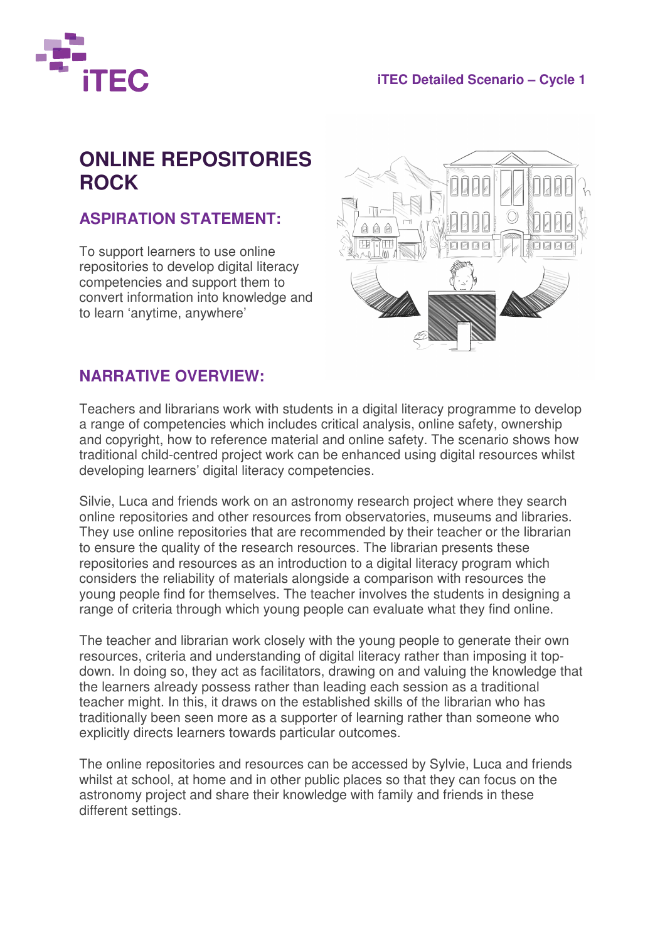

## **ONLINE REPOSITORIES ROCK**

## **ASPIRATION STATEMENT:**

To support learners to use online repositories to develop digital literacy competencies and support them to convert information into knowledge and to learn 'anytime, anywhere'



## **NARRATIVE OVERVIEW:**

Teachers and librarians work with students in a digital literacy programme to develop a range of competencies which includes critical analysis, online safety, ownership and copyright, how to reference material and online safety. The scenario shows how traditional child-centred project work can be enhanced using digital resources whilst developing learners' digital literacy competencies.

Silvie, Luca and friends work on an astronomy research project where they search online repositories and other resources from observatories, museums and libraries. They use online repositories that are recommended by their teacher or the librarian to ensure the quality of the research resources. The librarian presents these repositories and resources as an introduction to a digital literacy program which considers the reliability of materials alongside a comparison with resources the young people find for themselves. The teacher involves the students in designing a range of criteria through which young people can evaluate what they find online.

The teacher and librarian work closely with the young people to generate their own resources, criteria and understanding of digital literacy rather than imposing it topdown. In doing so, they act as facilitators, drawing on and valuing the knowledge that the learners already possess rather than leading each session as a traditional teacher might. In this, it draws on the established skills of the librarian who has traditionally been seen more as a supporter of learning rather than someone who explicitly directs learners towards particular outcomes.

The online repositories and resources can be accessed by Sylvie, Luca and friends whilst at school, at home and in other public places so that they can focus on the astronomy project and share their knowledge with family and friends in these different settings.